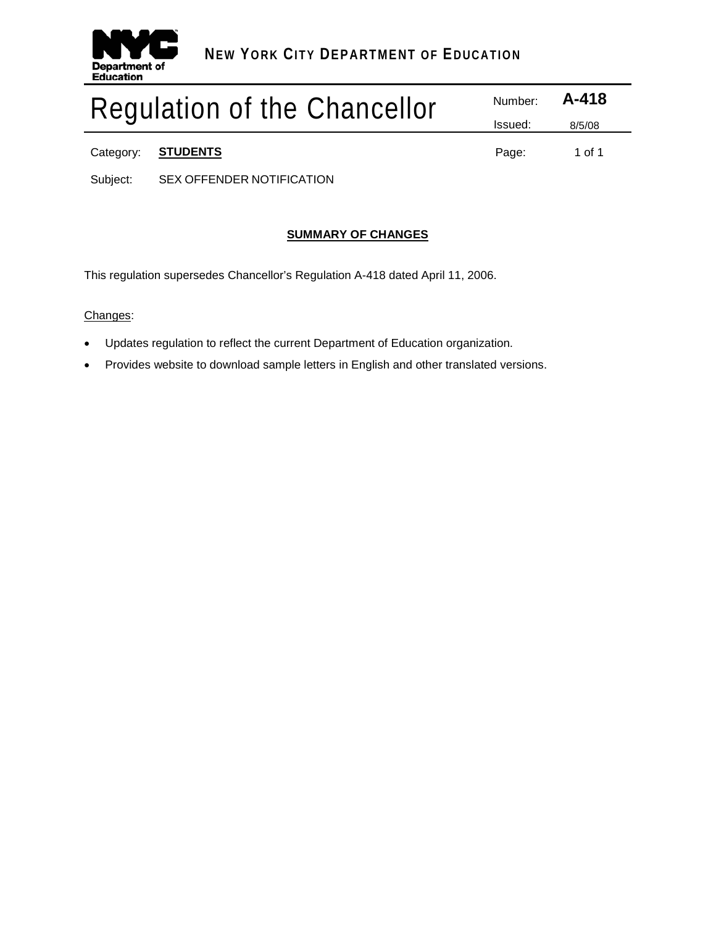

| Regulation of the Chancellor | Number: $A-418$ |        |
|------------------------------|-----------------|--------|
|                              | Issued:         | 8/5/08 |
| Category: <b>STUDENTS</b>    | Page:           | 1 of 1 |

Subject: SEX OFFENDER NOTIFICATION

# **SUMMARY OF CHANGES**

This regulation supersedes Chancellor's Regulation A-418 dated April 11, 2006.

# Changes:

- Updates regulation to reflect the current Department of Education organization.
- Provides website to download sample letters in English and other translated versions.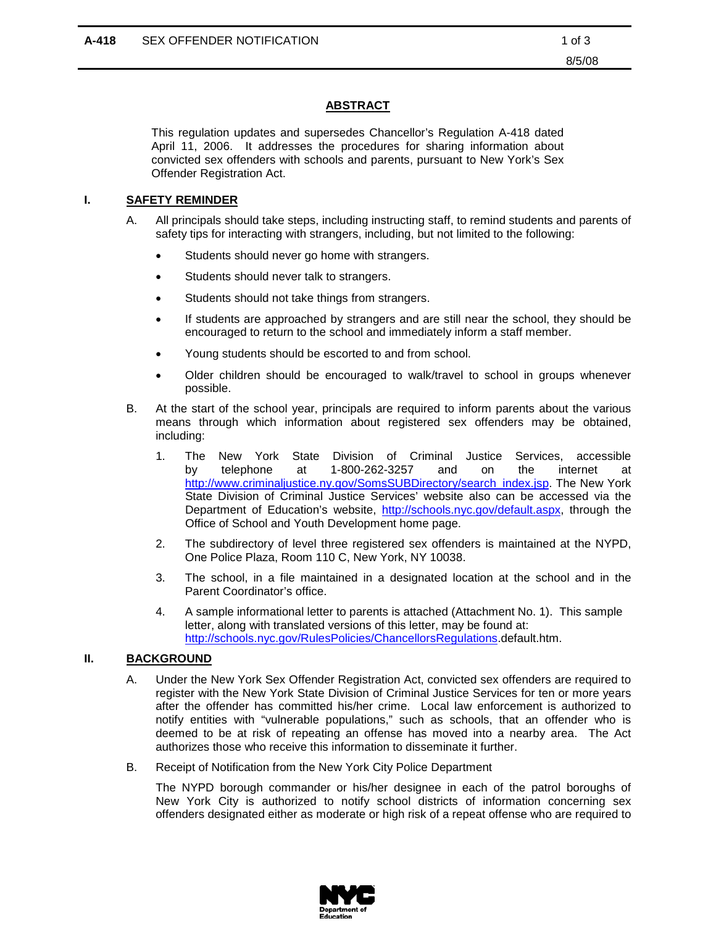# **ABSTRACT**

This regulation updates and supersedes Chancellor's Regulation A-418 dated April 11, 2006. It addresses the procedures for sharing information about convicted sex offenders with schools and parents, pursuant to New York's Sex Offender Registration Act.

## **I. SAFETY REMINDER**

- A. All principals should take steps, including instructing staff, to remind students and parents of safety tips for interacting with strangers, including, but not limited to the following:
	- Students should never go home with strangers.
	- Students should never talk to strangers.
	- Students should not take things from strangers.
	- If students are approached by strangers and are still near the school, they should be encouraged to return to the school and immediately inform a staff member.
	- Young students should be escorted to and from school.
	- Older children should be encouraged to walk/travel to school in groups whenever possible.
- B. At the start of the school year, principals are required to inform parents about the various means through which information about registered sex offenders may be obtained, including:
	- 1. The New York State Division of Criminal Justice Services, accessible by telephone at 1-800-262-3257 and on the internet at [http://www.criminaljustice.ny.gov/SomsSUBDirectory/search\\_index.jsp.](http://www.criminaljustice.ny.gov/SomsSUBDirectory/search_index.jsp) The New York State Division of Criminal Justice Services' website also can be accessed via the Department of Education's website, [http://schools.nyc.gov/default.aspx,](http://schools.nyc.gov/default.aspx) through the Office of School and Youth Development home page.
	- 2. The subdirectory of level three registered sex offenders is maintained at the NYPD, One Police Plaza, Room 110 C, New York, NY 10038.
	- 3. The school, in a file maintained in a designated location at the school and in the Parent Coordinator's office.
	- 4. A sample informational letter to parents is attached (Attachment No. 1). This sample letter, along with translated versions of this letter, may be found at: [http://schools.nyc.gov/RulesPolicies/ChancellorsRegulations.](http://schools.nyc.gov/RulesPolicies/ChancellorsRegulations)default.htm.

#### **II. BACKGROUND**

- A. Under the New York Sex Offender Registration Act, convicted sex offenders are required to register with the New York State Division of Criminal Justice Services for ten or more years after the offender has committed his/her crime. Local law enforcement is authorized to notify entities with "vulnerable populations," such as schools, that an offender who is deemed to be at risk of repeating an offense has moved into a nearby area. The Act authorizes those who receive this information to disseminate it further.
- B. Receipt of Notification from the New York City Police Department

The NYPD borough commander or his/her designee in each of the patrol boroughs of New York City is authorized to notify school districts of information concerning sex offenders designated either as moderate or high risk of a repeat offense who are required to

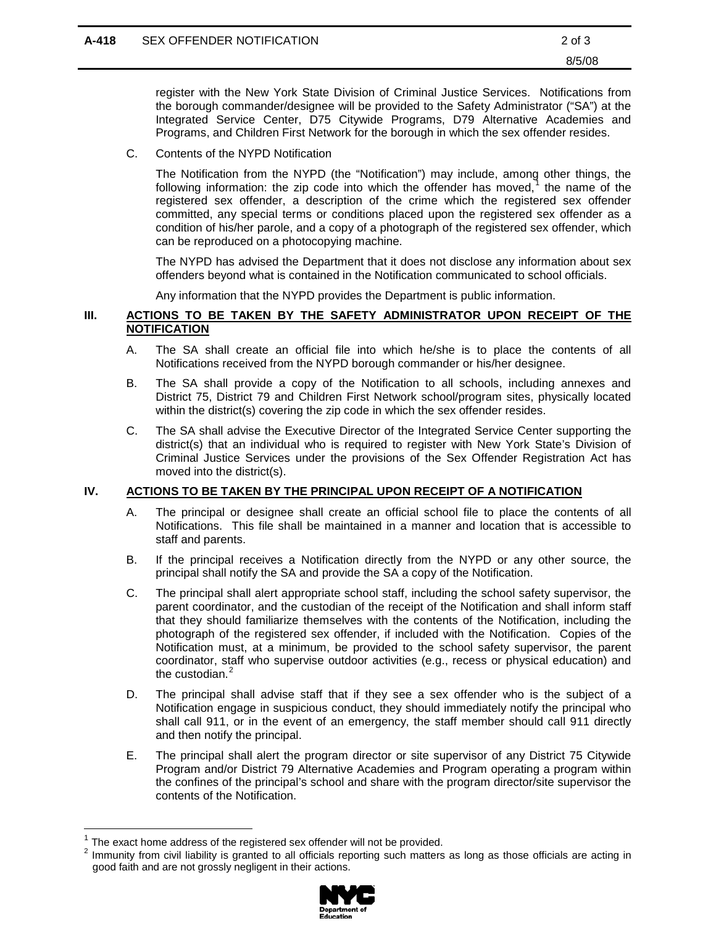register with the New York State Division of Criminal Justice Services. Notifications from the borough commander/designee will be provided to the Safety Administrator ("SA") at the Integrated Service Center, D75 Citywide Programs, D79 Alternative Academies and Programs, and Children First Network for the borough in which the sex offender resides.

C. Contents of the NYPD Notification

The Notification from the NYPD (the "Notification") may include, among other things, the following information: the zip code into which the offender has moved, $1$  the name of the registered sex offender, a description of the crime which the registered sex offender committed, any special terms or conditions placed upon the registered sex offender as a condition of his/her parole, and a copy of a photograph of the registered sex offender, which can be reproduced on a photocopying machine.

The NYPD has advised the Department that it does not disclose any information about sex offenders beyond what is contained in the Notification communicated to school officials.

Any information that the NYPD provides the Department is public information.

#### **III. ACTIONS TO BE TAKEN BY THE SAFETY ADMINISTRATOR UPON RECEIPT OF THE NOTIFICATION**

- A. The SA shall create an official file into which he/she is to place the contents of all Notifications received from the NYPD borough commander or his/her designee.
- B. The SA shall provide a copy of the Notification to all schools, including annexes and District 75, District 79 and Children First Network school/program sites, physically located within the district(s) covering the zip code in which the sex offender resides.
- C. The SA shall advise the Executive Director of the Integrated Service Center supporting the district(s) that an individual who is required to register with New York State's Division of Criminal Justice Services under the provisions of the Sex Offender Registration Act has moved into the district(s).

## **IV. ACTIONS TO BE TAKEN BY THE PRINCIPAL UPON RECEIPT OF A NOTIFICATION**

- A. The principal or designee shall create an official school file to place the contents of all Notifications. This file shall be maintained in a manner and location that is accessible to staff and parents.
- B. If the principal receives a Notification directly from the NYPD or any other source, the principal shall notify the SA and provide the SA a copy of the Notification.
- C. The principal shall alert appropriate school staff, including the school safety supervisor, the parent coordinator, and the custodian of the receipt of the Notification and shall inform staff that they should familiarize themselves with the contents of the Notification, including the photograph of the registered sex offender, if included with the Notification. Copies of the Notification must, at a minimum, be provided to the school safety supervisor, the parent coordinator, staff who supervise outdoor activities (e.g., recess or physical education) and the custodian. $<sup>2</sup>$  $<sup>2</sup>$  $<sup>2</sup>$ </sup>
- D. The principal shall advise staff that if they see a sex offender who is the subject of a Notification engage in suspicious conduct, they should immediately notify the principal who shall call 911, or in the event of an emergency, the staff member should call 911 directly and then notify the principal.
- E. The principal shall alert the program director or site supervisor of any District 75 Citywide Program and/or District 79 Alternative Academies and Program operating a program within the confines of the principal's school and share with the program director/site supervisor the contents of the Notification.

<span id="page-2-1"></span><span id="page-2-0"></span><sup>&</sup>lt;sup>1</sup> The exact home address of the registered sex offender will not be provided.<br><sup>2</sup> Immunity from civil liability is granted to all officials reporting such matters as long as those officials are acting in good faith and are not grossly negligent in their actions.

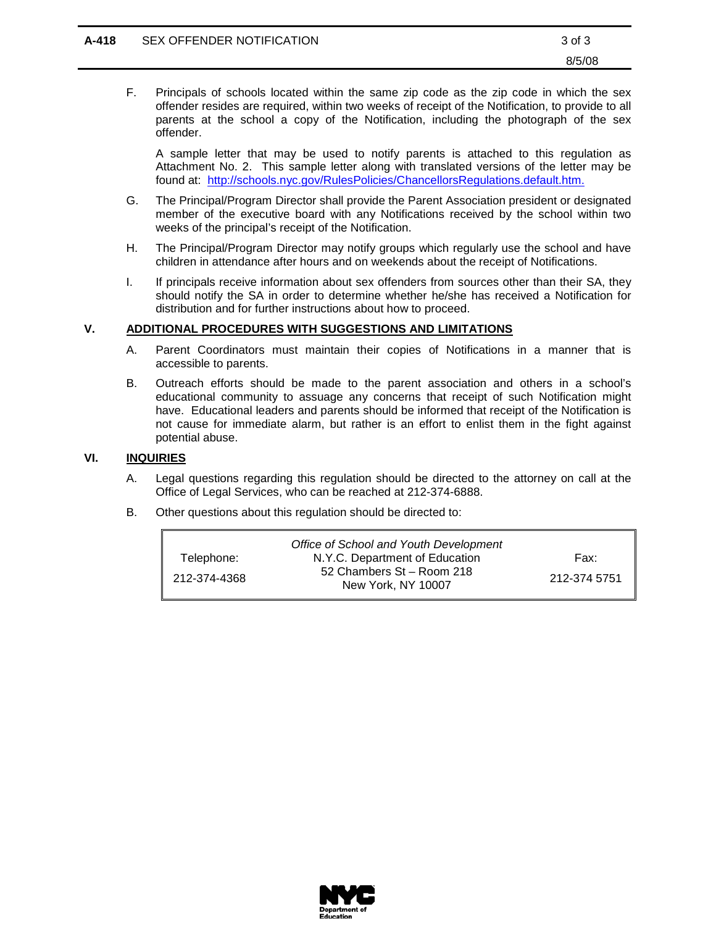8/5/08

A sample letter that may be used to notify parents is attached to this regulation as Attachment No. 2. This sample letter along with translated versions of the letter may be found at: <http://schools.nyc.gov/RulesPolicies/ChancellorsRegulations.default.htm.>

- G. The Principal/Program Director shall provide the Parent Association president or designated member of the executive board with any Notifications received by the school within two weeks of the principal's receipt of the Notification.
- H. The Principal/Program Director may notify groups which regularly use the school and have children in attendance after hours and on weekends about the receipt of Notifications.
- I. If principals receive information about sex offenders from sources other than their SA, they should notify the SA in order to determine whether he/she has received a Notification for distribution and for further instructions about how to proceed.

## **V. ADDITIONAL PROCEDURES WITH SUGGESTIONS AND LIMITATIONS**

- A. Parent Coordinators must maintain their copies of Notifications in a manner that is accessible to parents.
- B. Outreach efforts should be made to the parent association and others in a school's educational community to assuage any concerns that receipt of such Notification might have. Educational leaders and parents should be informed that receipt of the Notification is not cause for immediate alarm, but rather is an effort to enlist them in the fight against potential abuse.

# **VI. INQUIRIES**

- A. Legal questions regarding this regulation should be directed to the attorney on call at the Office of Legal Services, who can be reached at 212-374-6888.
- B. Other questions about this regulation should be directed to:

|              | Office of School and Youth Development          |              |
|--------------|-------------------------------------------------|--------------|
| Telephone:   | N.Y.C. Department of Education                  | Fax:         |
| 212-374-4368 | 52 Chambers St - Room 218<br>New York, NY 10007 | 212-374 5751 |

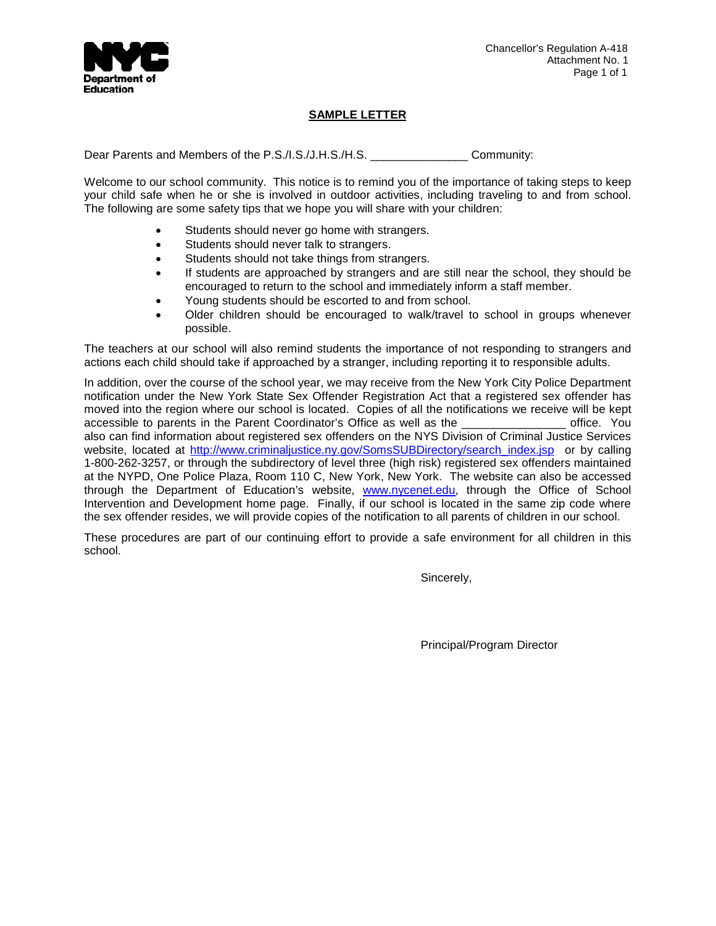

# **SAMPLE LETTER**

Dear Parents and Members of the P.S./I.S./J.H.S./H.S. \_\_\_\_\_\_\_\_\_\_\_\_\_\_\_\_\_\_\_\_\_\_\_\_\_\_ Community:

Welcome to our school community. This notice is to remind you of the importance of taking steps to keep your child safe when he or she is involved in outdoor activities, including traveling to and from school. The following are some safety tips that we hope you will share with your children:

- Students should never go home with strangers.
- Students should never talk to strangers.
- Students should not take things from strangers.
- If students are approached by strangers and are still near the school, they should be encouraged to return to the school and immediately inform a staff member.
- Young students should be escorted to and from school.
- Older children should be encouraged to walk/travel to school in groups whenever possible.

The teachers at our school will also remind students the importance of not responding to strangers and actions each child should take if approached by a stranger, including reporting it to responsible adults.

In addition, over the course of the school year, we may receive from the New York City Police Department notification under the New York State Sex Offender Registration Act that a registered sex offender has moved into the region where our school is located. Copies of all the notifications we receive will be kept accessible to parents in the Parent Coordinator's Office as well as the \_\_\_\_\_\_\_\_\_\_\_\_\_\_\_\_ office. You also can find information about registered sex offenders on the NYS Division of Criminal Justice Services website, located at [http://www.criminaljustice.ny.gov/SomsSUBDirectory/search\\_index.jsp](http://www.criminaljustice.ny.gov/SomsSUBDirectory/search_index.jsp) or by calling 1-800-262-3257, or through the subdirectory of level three (high risk) registered sex offenders maintained at the NYPD, One Police Plaza, Room 110 C, New York, New York. The website can also be accessed through the Department of Education's website, [www.nycenet.edu,](http://www.nycenet.edu/) through the Office of School Intervention and Development home page. Finally, if our school is located in the same zip code where the sex offender resides, we will provide copies of the notification to all parents of children in our school.

These procedures are part of our continuing effort to provide a safe environment for all children in this school.

Sincerely,

Principal/Program Director